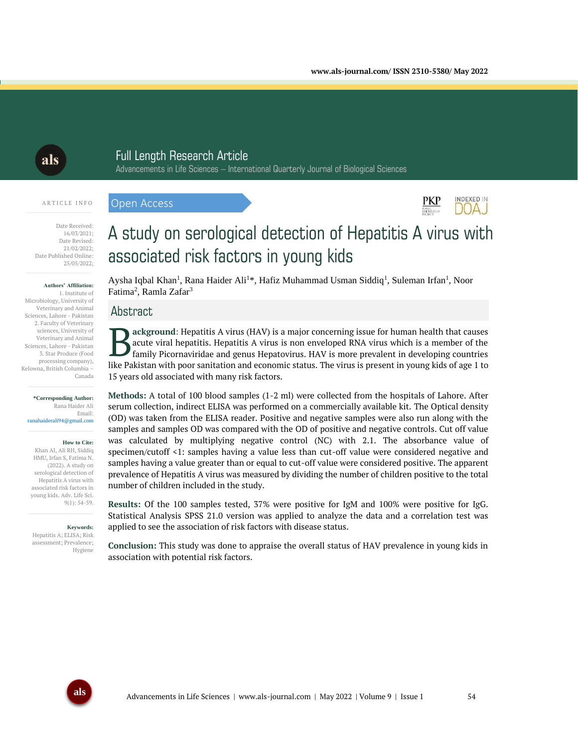$PKP$ 

**INDEXED IN** DOA J

# als

# Full Length Research Article

Advancements in Life Sciences – International Quarterly Journal of Biological Sciences

#### A R T I C L E I N F O

Open Access



#### **Authors' Affiliation:**

1. Institute of Microbiology, University of Veterinary and Animal Sciences, Lahore - Pakistan 2. Faculty of Veterinary sciences, University of Veterinary and Animal Sciences, Lahore - Pakistan 3. Star Produce (Food processing company), Kelowna, British Columbia – Canada

#### **\*Corresponding Author:** Rana Haider Ali Email: ranahaiderali94@gmail.com

#### **How to Cite:**

Khan AI, Ali RH, Siddiq HMU, Irfan S, Fatima N. (2022). A study on serological detection of Hepatitis A virus with associated risk factors in young kids. Adv. Life Sci. 9(1): 54-59.

#### **Keywords:**

Hepatitis A; ELISA; Risk assessment; Prevalence; Hygiene

# A study on serological detection of Hepatitis A virus with associated risk factors in young kids

Aysha Iqbal Khan<sup>1</sup>, Rana Haider Ali<sup>1\*</sup>, Hafiz Muhammad Usman Siddiq<sup>1</sup>, Suleman Irfan<sup>1</sup>, Noor Fatima<sup>2</sup>, Ramla Zafar<sup>3</sup>

# Abstract

**ackground**: Hepatitis A virus (HAV) is a major concerning issue for human health that causes acute viral hepatitis. Hepatitis A virus is non enveloped RNA virus which is a member of the family Picornaviridae and genus Hepatovirus. HAV is more prevalent in developing countries like Pakistan with poor sanitation and economic status. The virus is present in young kids of age 1 to 15 years old associated with many risk factors. B

**Methods:** A total of 100 blood samples (1-2 ml) were collected from the hospitals of Lahore. After serum collection, indirect ELISA was performed on a commercially available kit. The Optical density (OD) was taken from the ELISA reader. Positive and negative samples were also run along with the samples and samples OD was compared with the OD of positive and negative controls. Cut off value was calculated by multiplying negative control (NC) with 2.1. The absorbance value of specimen/cutoff <1: samples having a value less than cut-off value were considered negative and samples having a value greater than or equal to cut-off value were considered positive. The apparent prevalence of Hepatitis A virus was measured by dividing the number of children positive to the total number of children included in the study.

**Results:** Of the 100 samples tested, 37% were positive for IgM and 100% were positive for IgG. Statistical Analysis SPSS 21.0 version was applied to analyze the data and a correlation test was applied to see the association of risk factors with disease status.

**Conclusion:** This study was done to appraise the overall status of HAV prevalence in young kids in association with potential risk factors.

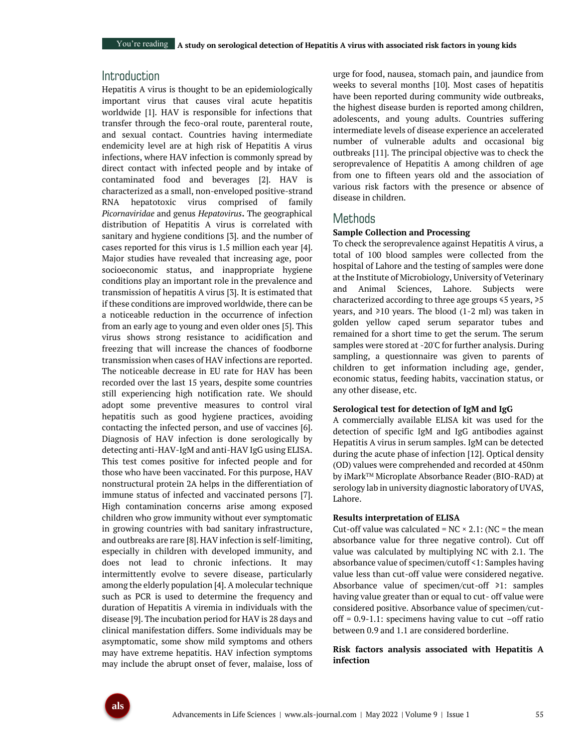# Introduction

Hepatitis A virus is thought to be an epidemiologically important virus that causes viral acute hepatitis worldwide [1]. HAV is responsible for infections that transfer through the feco-oral route, parenteral route, and sexual contact. Countries having intermediate endemicity level are at high risk of Hepatitis A virus infections, where HAV infection is commonly spread by direct contact with infected people and by intake of contaminated food and beverages [2]. HAV is characterized as a small, non-enveloped positive-strand RNA hepatotoxic virus comprised of family *Picornaviridae* and genus *Hepatovirus***.** The geographical distribution of Hepatitis A virus is correlated with sanitary and hygiene conditions [3]. and the number of cases reported for this virus is 1.5 million each year [4]. Major studies have revealed that increasing age, poor socioeconomic status, and inappropriate hygiene conditions play an important role in the prevalence and transmission of hepatitis A virus [3]. It is estimated that if these conditions are improved worldwide, there can be a noticeable reduction in the occurrence of infection from an early age to young and even older ones [5]. This virus shows strong resistance to acidification and freezing that will increase the chances of foodborne transmission when cases of HAV infections are reported. The noticeable decrease in EU rate for HAV has been recorded over the last 15 years, despite some countries still experiencing high notification rate. We should adopt some preventive measures to control viral hepatitis such as good hygiene practices, avoiding contacting the infected person, and use of vaccines [6]. Diagnosis of HAV infection is done serologically by detecting anti-HAV-IgM and anti-HAV IgG using ELISA. This test comes positive for infected people and for those who have been vaccinated. For this purpose, HAV nonstructural protein 2A helps in the differentiation of immune status of infected and vaccinated persons [7]. High contamination concerns arise among exposed children who grow immunity without ever symptomatic in growing countries with bad sanitary infrastructure, and outbreaks are rare [8]. HAV infection is self-limiting, especially in children with developed immunity, and does not lead to chronic infections. It may intermittently evolve to severe disease, particularly among the elderly population [4]. A molecular technique such as PCR is used to determine the frequency and duration of Hepatitis A viremia in individuals with the disease [9]. The incubation period for HAV is 28 days and clinical manifestation differs. Some individuals may be asymptomatic, some show mild symptoms and others may have extreme hepatitis. HAV infection symptoms may include the abrupt onset of fever, malaise, loss of urge for food, nausea, stomach pain, and jaundice from weeks to several months [10]. Most cases of hepatitis have been reported during community wide outbreaks, the highest disease burden is reported among children, adolescents, and young adults. Countries suffering intermediate levels of disease experience an accelerated number of vulnerable adults and occasional big outbreaks [11]. The principal objective was to check the seroprevalence of Hepatitis A among children of age from one to fifteen years old and the association of various risk factors with the presence or absence of disease in children.

# **Methods**

## **Sample Collection and Processing**

To check the seroprevalence against Hepatitis A virus, a total of 100 blood samples were collected from the hospital of Lahore and the testing of samples were done at the Institute of Microbiology, University of Veterinary and Animal Sciences, Lahore. Subjects were characterized according to three age groups ≤5 years, ≥5 years, and ≥10 years. The blood (1-2 ml) was taken in golden yellow caped serum separator tubes and remained for a short time to get the serum. The serum samples were stored at -20°C for further analysis. During sampling, a questionnaire was given to parents of children to get information including age, gender, economic status, feeding habits, vaccination status, or any other disease, etc.

#### **Serological test for detection of IgM and IgG**

A commercially available ELISA kit was used for the detection of specific IgM and IgG antibodies against Hepatitis A virus in serum samples. IgM can be detected during the acute phase of infection [12]. Optical density (OD) values were comprehended and recorded at 450nm by iMark™ Microplate Absorbance Reader (BIO-RAD) at serology lab in university diagnostic laboratory of UVAS, Lahore.

#### **Results interpretation of ELISA**

Cut-off value was calculated =  $NC \times 2.1$ : (NC = the mean absorbance value for three negative control). Cut off value was calculated by multiplying NC with 2.1. The absorbance value of specimen/cutoff <1: Samples having value less than cut-off value were considered negative. Absorbance value of specimen/cut-off ≥1: samples having value greater than or equal to cut- off value were considered positive. Absorbance value of specimen/cutoff =  $0.9-1.1$ : specimens having value to cut  $-$ off ratio between 0.9 and 1.1 are considered borderline.

## **Risk factors analysis associated with Hepatitis A infection**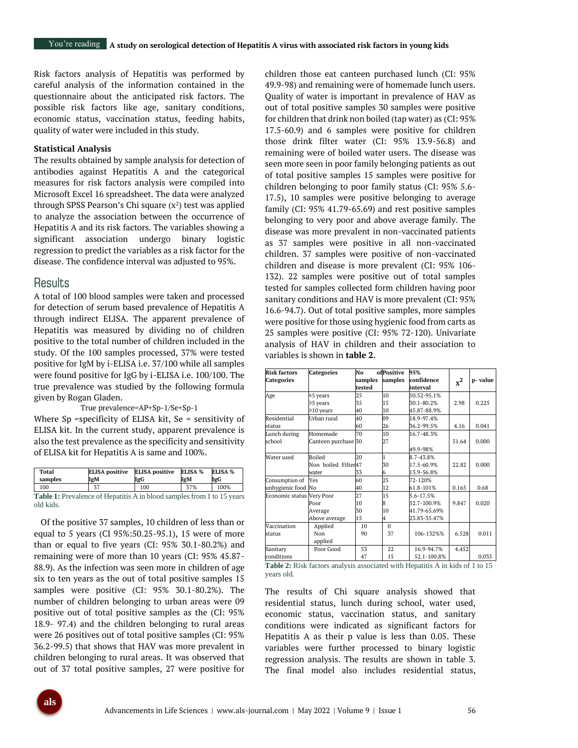Risk factors analysis of Hepatitis was performed by careful analysis of the information contained in the questionnaire about the anticipated risk factors. The possible risk factors like age, sanitary conditions, economic status, vaccination status, feeding habits, quality of water were included in this study.

#### **Statistical Analysis**

The results obtained by sample analysis for detection of antibodies against Hepatitis A and the categorical measures for risk factors analysis were compiled into Microsoft Excel 16 spreadsheet. The data were analyzed through SPSS Pearson's Chi square  $(x^2)$  test was applied to analyze the association between the occurrence of Hepatitis A and its risk factors. The variables showing a significant association undergo binary logistic regression to predict the variables as a risk factor for the disease. The confidence interval was adjusted to 95%.

## Results

A total of 100 blood samples were taken and processed for detection of serum based prevalence of Hepatitis A through indirect ELISA. The apparent prevalence of Hepatitis was measured by dividing no of children positive to the total number of children included in the study. Of the 100 samples processed, 37% were tested positive for IgM by i-ELISA i.e. 37/100 while all samples were found positive for IgG by i-ELISA i.e. 100/100. The true prevalence was studied by the following formula given by Rogan Gladen.

#### True prevalence=AP+Sp-1/Se+Sp-1

Where Sp =specificity of ELISA kit, Se = sensitivity of ELISA kit. In the current study, apparent prevalence is also the test prevalence as the specificity and sensitivity of ELISA kit for Hepatitis A is same and 100%.

| Total<br>samples                                                              | <b>ELISA</b> positive<br>IgM | <b>ELISA</b> positive<br>IgG | ELISA %<br>IgM | ELISA %<br>IgG |  |  |
|-------------------------------------------------------------------------------|------------------------------|------------------------------|----------------|----------------|--|--|
| 100                                                                           | 37                           | 100                          | 37%            | 100%           |  |  |
| <b>Table 1:</b> Prevalence of Hepatitis A in blood samples from 1 to 15 years |                              |                              |                |                |  |  |

old kids. Of the positive 37 samples, 10 children of less than or equal to 5 years (CI 95%:50.25-95.1), 15 were of more than or equal to five years (CI: 95% 30.1-80.2%) and remaining were of more than 10 years (CI: 95% 45.87- 88.9). As the infection was seen more in children of age six to ten years as the out of total positive samples 15 samples were positive (CI: 95% 30.1-80.2%). The number of children belonging to urban areas were 09 positive out of total positive samples as the (CI: 95% 18.9- 97.4) and the children belonging to rural areas were 26 positives out of total positive samples (CI: 95% 36.2-99.5) that shows that HAV was more prevalent in children belonging to rural areas. It was observed that

out of 37 total positive samples, 27 were positive for

children those eat canteen purchased lunch (CI: 95% 49.9-98) and remaining were of homemade lunch users. Quality of water is important in prevalence of HAV as out of total positive samples 30 samples were positive for children that drink non boiled (tap water) as (CI: 95% 17.5-60.9) and 6 samples were positive for children those drink filter water (CI: 95% 13.9-56.8) and remaining were of boiled water users. The disease was seen more seen in poor family belonging patients as out of total positive samples 15 samples were positive for children belonging to poor family status (CI: 95% 5.6- 17.5), 10 samples were positive belonging to average family (CI: 95% 41.79-65.69) and rest positive samples belonging to very poor and above average family. The disease was more prevalent in non-vaccinated patients as 37 samples were positive in all non-vaccinated children. 37 samples were positive of non-vaccinated children and disease is more prevalent (CI: 95% 106- 132). 22 samples were positive out of total samples tested for samples collected form children having poor sanitary conditions and HAV is more prevalent (CI: 95% 16.6-94.7). Out of total positive samples, more samples were positive for those using hygienic food from carts as 25 samples were positive (CI: 95% 72-120). Univariate analysis of HAV in children and their association to variables is shown in **table 2**.

| <b>Risk factors</b> | <b>Categories</b>                   | No                 | ofPositive | 95%          |       |         |  |
|---------------------|-------------------------------------|--------------------|------------|--------------|-------|---------|--|
| Categories          |                                     | samples<br>samples |            | confidence   | $x^2$ | p-value |  |
|                     |                                     | tested             |            | interval     |       |         |  |
| Age                 | ≤5 years                            | 25                 | 10         | 50.52-95.1%  |       |         |  |
|                     | ≥5 years                            | 35                 | 15         | 30.1-80.2%   | 2.98  | 0.225   |  |
|                     | ≥10 years                           | 40                 | 10         | 45.87-88.9%  |       |         |  |
| Residential         | Urban rural                         | 40                 | 09         | 18.9-97.4%   |       |         |  |
| status              |                                     | 60                 | 26         | 36.2-99.5%   | 4.16  | 0.041   |  |
| Lunch during        | Homemade                            | 70                 | 10         | 16.7-48.3%   |       |         |  |
| school              | Canteen purchase 30                 |                    | 27         |              | 51.64 | 0.000   |  |
|                     |                                     |                    |            | 49.9-98%     |       |         |  |
| Water used          | 20<br>Boiled<br>Non boiled Filter47 |                    | 1          | 8.7-43.8%    |       |         |  |
|                     |                                     |                    | 30         | 17.5-60.9%   | 22.82 | 0.000   |  |
|                     | water                               | 33                 | 6          | 13.9-56.8%   |       |         |  |
| Consumption of      | Yes                                 | 60                 | 25         | 72-120%      |       |         |  |
| unhygienic food No  |                                     | 40                 | 12         | 61.8-101%    | 0.165 | 0.68    |  |
| Economic status     | Very Poor                           | 27                 | 15         | 5.6-17.5%    |       |         |  |
|                     | Poor                                | 10                 |            | 52.7-100.9%  | 9.847 | 0.020   |  |
|                     | Average                             | 30                 | 10         | 41.79-65.69% |       |         |  |
|                     | Above average                       | 15                 | 4          | 23.83-35.47% |       |         |  |
| Vaccination         | Applied                             | 10                 | $\Omega$   |              |       |         |  |
| status              | Non                                 | 90                 | 37         | 106-132%%    | 6.528 | 0.011   |  |
|                     | applied                             |                    |            |              |       |         |  |
| Sanitary            | Poor Good                           | 53                 | 22         | 16.9-94.7%   | 4.452 |         |  |
| conditions          |                                     | 47                 | 15         | 52.1-100.8%  |       | 0.035   |  |

Table 2: Risk factors analysis associated with Hepatitis A in kids of 1 to 15 years old.

The results of Chi square analysis showed that residential status, lunch during school, water used, economic status, vaccination status, and sanitary conditions were indicated as significant factors for Hepatitis A as their p value is less than 0.05. These variables were further processed to binary logistic regression analysis. The results are shown in table 3. The final model also includes residential status,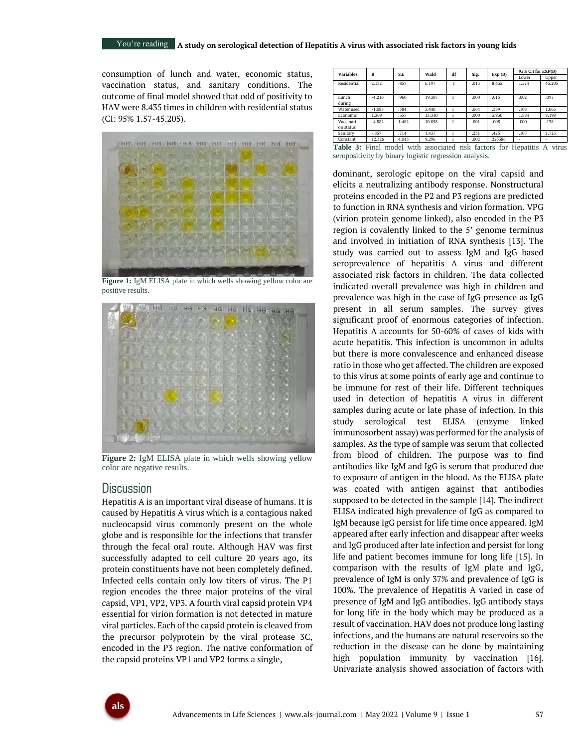### You're reading **A** study on serological detection of Hepatitis A virus with associated risk factors in young kids

consumption of lunch and water, economic status, vaccination status, and sanitary conditions. The outcome of final model showed that odd of positivity to HAV were 8.435 times in children with residential status (CI: 95% 1.57-45.205).



**Figure 1:** IgM ELISA plate in which wells showing yellow color are positive results.



**Figure 2:** IgM ELISA plate in which wells showing yellow color are negative results.

## **Discussion**

Hepatitis A is an important viral disease of humans. It is caused by Hepatitis A virus which is a contagious naked nucleocapsid virus commonly present on the whole globe and is responsible for the infections that transfer through the fecal oral route. Although HAV was first successfully adapted to cell culture 20 years ago, its protein constituents have not been completely defined. Infected cells contain only low titers of virus. The P1 region encodes the three major proteins of the viral capsid, VP1, VP2, VP3. A fourth viral capsid protein VP4 essential for virion formation is not detected in mature viral particles. Each of the capsid protein is cleaved from the precursor polyprotein by the viral protease 3C, encoded in the P3 region. The native conformation of the capsid proteins VP1 and VP2 forms a single,

| <b>Variables</b>       | B        | S.E   | Wald   | df | Sig.     | Exp(B) | 95% C.I for EXP(B) |        |
|------------------------|----------|-------|--------|----|----------|--------|--------------------|--------|
|                        |          |       |        |    |          |        | Lower              | Upper  |
| Residential            | 2.132    | .857  | 6.197  |    | .013     | 8.435  | 1.574              | 45.205 |
| Lunch<br>during        | $-4.216$ | .960  | 19.307 |    | $.000 -$ | .015   | .002               | .097   |
| Water used             | $-1.083$ | .584  | 3.440  |    | .064     | .339   | .108               | 1.063  |
| Economic               | 1.369    | .357  | 13.310 |    | .000     | 3.930  | 1.884              | 8.198  |
| Vaccinati<br>on status | $-4.882$ | 1.482 | 10.858 |    | .001     | .008   | .000               | .138   |
| Sanitary               | $-857$   | .714  | 1.437  |    | .231     | .425   | .105               | 1.723  |
| Constant               | 12.326   | 4.043 | 9.296  |    | .002     | 225386 | ۰                  |        |

Table 3: Final model with associated risk factors for Hepatitis A virus seropositivity by binary logistic regression analysis.

dominant, serologic epitope on the viral capsid and elicits a neutralizing antibody response. Nonstructural proteins encoded in the P2 and P3 regions are predicted to function in RNA synthesis and virion formation. VPG (virion protein genome linked), also encoded in the P3 region is covalently linked to the 5' genome terminus and involved in initiation of RNA synthesis [13]. The study was carried out to assess IgM and IgG based seroprevalence of hepatitis A virus and different associated risk factors in children. The data collected indicated overall prevalence was high in children and prevalence was high in the case of IgG presence as IgG present in all serum samples. The survey gives significant proof of enormous categories of infection. Hepatitis A accounts for 50-60% of cases of kids with acute hepatitis. This infection is uncommon in adults but there is more convalescence and enhanced disease ratio in those who get affected. The children are exposed to this virus at some points of early age and continue to be immune for rest of their life. Different techniques used in detection of hepatitis A virus in different samples during acute or late phase of infection. In this study serological test ELISA (enzyme linked immunosorbent assay) was performed for the analysis of samples. As the type of sample was serum that collected from blood of children. The purpose was to find antibodies like IgM and IgG is serum that produced due to exposure of antigen in the blood. As the ELISA plate was coated with antigen against that antibodies supposed to be detected in the sample [14]. The indirect ELISA indicated high prevalence of IgG as compared to IgM because IgG persist for life time once appeared. IgM appeared after early infection and disappear after weeks and IgG produced after late infection and persist for long life and patient becomes immune for long life [15]. In comparison with the results of IgM plate and IgG, prevalence of IgM is only 37% and prevalence of IgG is 100%. The prevalence of Hepatitis A varied in case of presence of IgM and IgG antibodies. IgG antibody stays for long life in the body which may be produced as a result of vaccination. HAV does not produce long lasting infections, and the humans are natural reservoirs so the reduction in the disease can be done by maintaining high population immunity by vaccination [16]. Univariate analysis showed association of factors with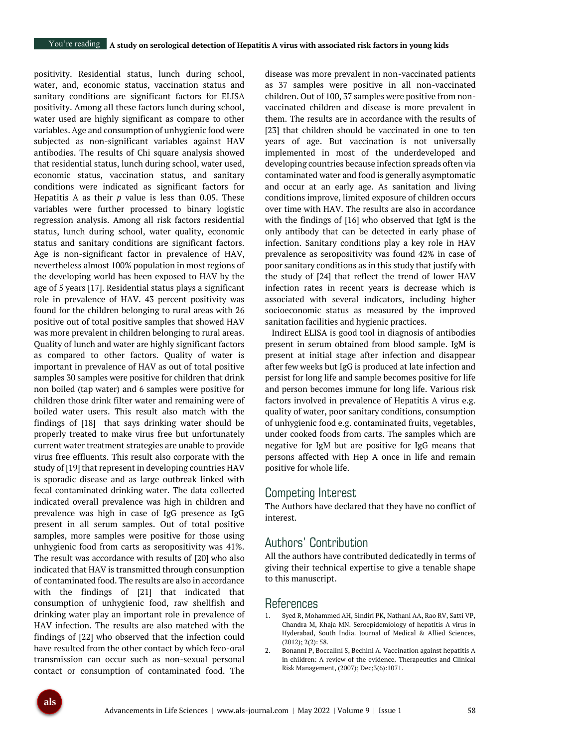positivity. Residential status, lunch during school, water, and, economic status, vaccination status and sanitary conditions are significant factors for ELISA positivity. Among all these factors lunch during school, water used are highly significant as compare to other variables. Age and consumption of unhygienic food were subjected as non-significant variables against HAV antibodies. The results of Chi square analysis showed that residential status, lunch during school, water used, economic status, vaccination status, and sanitary conditions were indicated as significant factors for Hepatitis A as their *p* value is less than 0.05. These variables were further processed to binary logistic regression analysis. Among all risk factors residential status, lunch during school, water quality, economic status and sanitary conditions are significant factors. Age is non-significant factor in prevalence of HAV, nevertheless almost 100% population in most regions of the developing world has been exposed to HAV by the age of 5 years [17]. Residential status plays a significant role in prevalence of HAV. 43 percent positivity was found for the children belonging to rural areas with 26 positive out of total positive samples that showed HAV was more prevalent in children belonging to rural areas. Quality of lunch and water are highly significant factors as compared to other factors. Quality of water is important in prevalence of HAV as out of total positive samples 30 samples were positive for children that drink non boiled (tap water) and 6 samples were positive for children those drink filter water and remaining were of boiled water users. This result also match with the findings of [18] that says drinking water should be properly treated to make virus free but unfortunately current water treatment strategies are unable to provide virus free effluents. This result also corporate with the study of [19] that represent in developing countries HAV is sporadic disease and as large outbreak linked with fecal contaminated drinking water. The data collected indicated overall prevalence was high in children and prevalence was high in case of IgG presence as IgG present in all serum samples. Out of total positive samples, more samples were positive for those using unhygienic food from carts as seropositivity was 41%. The result was accordance with results of [20] who also indicated that HAV is transmitted through consumption of contaminated food. The results are also in accordance with the findings of [21] that indicated that consumption of unhygienic food, raw shellfish and drinking water play an important role in prevalence of HAV infection. The results are also matched with the findings of [22] who observed that the infection could have resulted from the other contact by which feco-oral transmission can occur such as non-sexual personal contact or consumption of contaminated food. The

disease was more prevalent in non-vaccinated patients as 37 samples were positive in all non-vaccinated children. Out of 100, 37 samples were positive from nonvaccinated children and disease is more prevalent in them. The results are in accordance with the results of [23] that children should be vaccinated in one to ten years of age. But vaccination is not universally implemented in most of the underdeveloped and developing countries because infection spreads often via contaminated water and food is generally asymptomatic and occur at an early age. As sanitation and living conditions improve, limited exposure of children occurs over time with HAV. The results are also in accordance with the findings of [16] who observed that IgM is the only antibody that can be detected in early phase of infection. Sanitary conditions play a key role in HAV prevalence as seropositivity was found 42% in case of poor sanitary conditions as in this study that justify with the study of [24] that reflect the trend of lower HAV infection rates in recent years is decrease which is associated with several indicators, including higher socioeconomic status as measured by the improved sanitation facilities and hygienic practices.

Indirect ELISA is good tool in diagnosis of antibodies present in serum obtained from blood sample. IgM is present at initial stage after infection and disappear after few weeks but IgG is produced at late infection and persist for long life and sample becomes positive for life and person becomes immune for long life. Various risk factors involved in prevalence of Hepatitis A virus e.g. quality of water, poor sanitary conditions, consumption of unhygienic food e.g. contaminated fruits, vegetables, under cooked foods from carts. The samples which are negative for IgM but are positive for IgG means that persons affected with Hep A once in life and remain positive for whole life.

# Competing Interest

The Authors have declared that they have no conflict of interest.

# Authors' Contribution

All the authors have contributed dedicatedly in terms of giving their technical expertise to give a tenable shape to this manuscript.

## References

- 1. Syed R, Mohammed AH, Sindiri PK, Nathani AA, Rao RV, Satti VP, Chandra M, Khaja MN. Seroepidemiology of hepatitis A virus in Hyderabad, South India. Journal of Medical & Allied Sciences, (2012); 2(2): 58.
- 2. Bonanni P, Boccalini S, Bechini A. Vaccination against hepatitis A in children: A review of the evidence. Therapeutics and Clinical Risk Management, (2007); Dec;3(6):1071.